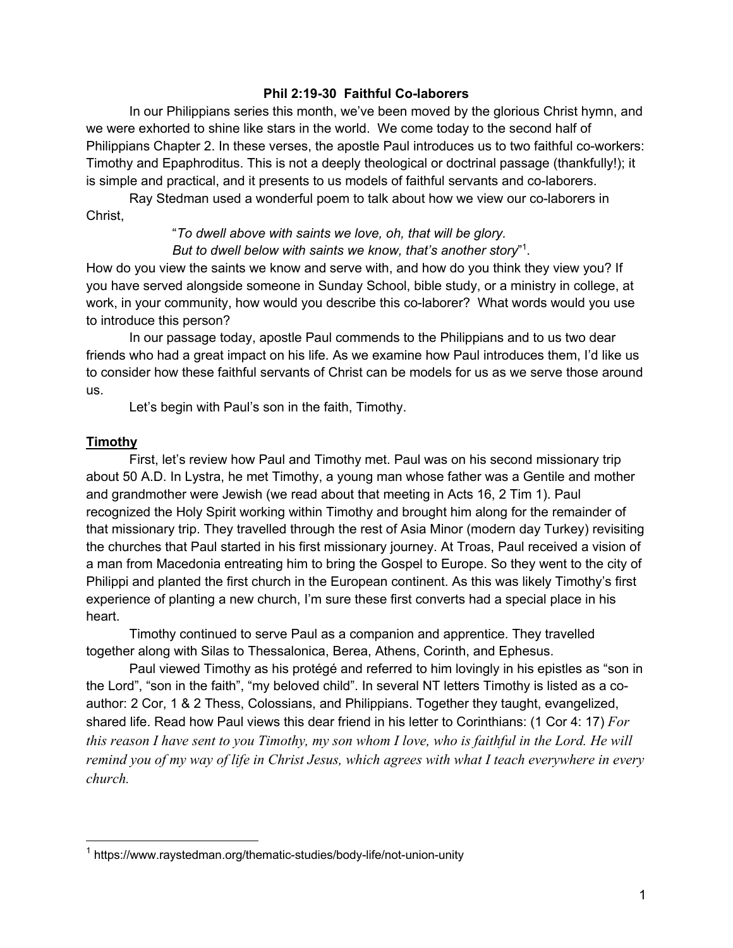## **Phil 2:19-30 Faithful Co-laborers**

In our Philippians series this month, we've been moved by the glorious Christ hymn, and we were exhorted to shine like stars in the world. We come today to the second half of Philippians Chapter 2. In these verses, the apostle Paul introduces us to two faithful co-workers: Timothy and Epaphroditus. This is not a deeply theological or doctrinal passage (thankfully!); it is simple and practical, and it presents to us models of faithful servants and co-laborers.

Ray Stedman used a wonderful poem to talk about how we view our co-laborers in Christ,

> "*To dwell above with saints we love, oh, that will be glory. But to dwell below with saints we know, that's another story*" 1 .

How do you view the saints we know and serve with, and how do you think they view you? If you have served alongside someone in Sunday School, bible study, or a ministry in college, at work, in your community, how would you describe this co-laborer? What words would you use to introduce this person?

In our passage today, apostle Paul commends to the Philippians and to us two dear friends who had a great impact on his life. As we examine how Paul introduces them, I'd like us to consider how these faithful servants of Christ can be models for us as we serve those around us.

Let's begin with Paul's son in the faith, Timothy.

## **Timothy**

First, let's review how Paul and Timothy met. Paul was on his second missionary trip about 50 A.D. In Lystra, he met Timothy, a young man whose father was a Gentile and mother and grandmother were Jewish (we read about that meeting in Acts 16, 2 Tim 1). Paul recognized the Holy Spirit working within Timothy and brought him along for the remainder of that missionary trip. They travelled through the rest of Asia Minor (modern day Turkey) revisiting the churches that Paul started in his first missionary journey. At Troas, Paul received a vision of a man from Macedonia entreating him to bring the Gospel to Europe. So they went to the city of Philippi and planted the first church in the European continent. As this was likely Timothy's first experience of planting a new church, I'm sure these first converts had a special place in his heart.

Timothy continued to serve Paul as a companion and apprentice. They travelled together along with Silas to Thessalonica, Berea, Athens, Corinth, and Ephesus.

Paul viewed Timothy as his protégé and referred to him lovingly in his epistles as "son in the Lord", "son in the faith", "my beloved child". In several NT letters Timothy is listed as a coauthor: 2 Cor, 1 & 2 Thess, Colossians, and Philippians. Together they taught, evangelized, shared life. Read how Paul views this dear friend in his letter to Corinthians: (1 Cor 4: 17) *For this reason I have sent to you Timothy, my son whom I love, who is faithful in the Lord. He will remind you of my way of life in Christ Jesus, which agrees with what I teach everywhere in every church.*

<sup>&</sup>lt;sup>1</sup> https://www.raystedman.org/thematic-studies/body-life/not-union-unity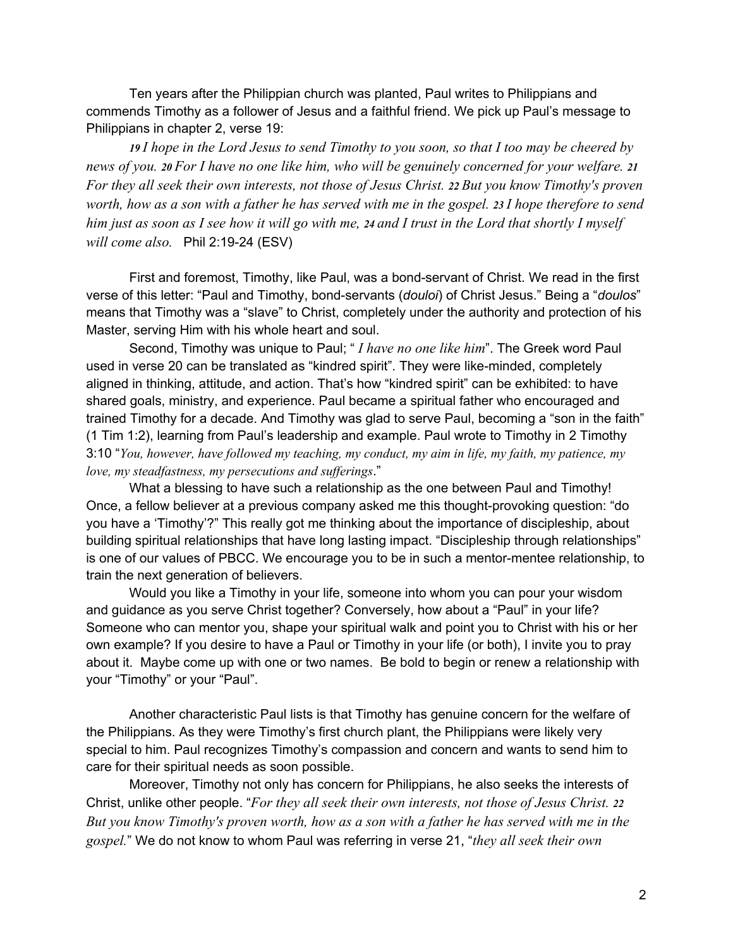Ten years after the Philippian church was planted, Paul writes to Philippians and commends Timothy as a follower of Jesus and a faithful friend. We pick up Paul's message to Philippians in chapter 2, verse 19:

*19 I hope in the Lord Jesus to send Timothy to you soon, so that I too may be cheered by news of you. 20 For I have no one like him, who will be genuinely concerned for your welfare. 21 For they all seek their own interests, not those of Jesus Christ. 22 But you know Timothy's proven worth, how as a son with a father he has served with me in the gospel. 23 I hope therefore to send him just as soon as I see how it will go with me, 24 and I trust in the Lord that shortly I myself will come also.* Phil 2:19-24 (ESV)

First and foremost, Timothy, like Paul, was a bond-servant of Christ. We read in the first verse of this letter: "Paul and Timothy, bond-servants (*douloi*) of Christ Jesus." Being a "*doulos*" means that Timothy was a "slave" to Christ, completely under the authority and protection of his Master, serving Him with his whole heart and soul.

Second, Timothy was unique to Paul; " *I have no one like him*". The Greek word Paul used in verse 20 can be translated as "kindred spirit". They were like-minded, completely aligned in thinking, attitude, and action. That's how "kindred spirit" can be exhibited: to have shared goals, ministry, and experience. Paul became a spiritual father who encouraged and trained Timothy for a decade. And Timothy was glad to serve Paul, becoming a "son in the faith" (1 Tim 1:2), learning from Paul's leadership and example. Paul wrote to Timothy in 2 Timothy 3:10 "*You, however, have followed my teaching, my conduct, my aim in life, my faith, my patience, my love, my steadfastness, my persecutions and sufferings*."

What a blessing to have such a relationship as the one between Paul and Timothy! Once, a fellow believer at a previous company asked me this thought-provoking question: "do you have a 'Timothy'?" This really got me thinking about the importance of discipleship, about building spiritual relationships that have long lasting impact. "Discipleship through relationships" is one of our values of PBCC. We encourage you to be in such a mentor-mentee relationship, to train the next generation of believers.

Would you like a Timothy in your life, someone into whom you can pour your wisdom and guidance as you serve Christ together? Conversely, how about a "Paul" in your life? Someone who can mentor you, shape your spiritual walk and point you to Christ with his or her own example? If you desire to have a Paul or Timothy in your life (or both), I invite you to pray about it. Maybe come up with one or two names. Be bold to begin or renew a relationship with your "Timothy" or your "Paul".

Another characteristic Paul lists is that Timothy has genuine concern for the welfare of the Philippians. As they were Timothy's first church plant, the Philippians were likely very special to him. Paul recognizes Timothy's compassion and concern and wants to send him to care for their spiritual needs as soon possible.

Moreover, Timothy not only has concern for Philippians, he also seeks the interests of Christ, unlike other people. "*For they all seek their own interests, not those of Jesus Christ. 22 But you know Timothy's proven worth, how as a son with a father he has served with me in the gospel.*" We do not know to whom Paul was referring in verse 21, "*they all seek their own*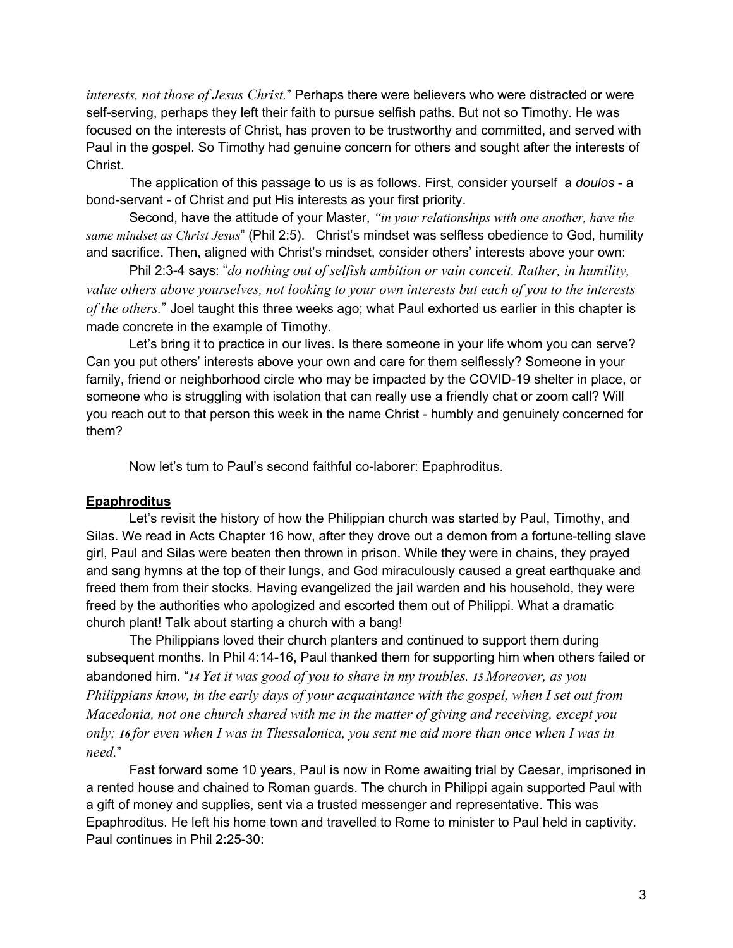*interests, not those of Jesus Christ.*" Perhaps there were believers who were distracted or were self-serving, perhaps they left their faith to pursue selfish paths. But not so Timothy. He was focused on the interests of Christ, has proven to be trustworthy and committed, and served with Paul in the gospel. So Timothy had genuine concern for others and sought after the interests of Christ.

The application of this passage to us is as follows. First, consider yourself a *doulos* - a bond-servant - of Christ and put His interests as your first priority.

Second, have the attitude of your Master, *"in your relationships with one another, have the same mindset as Christ Jesus*" (Phil 2:5). Christ's mindset was selfless obedience to God, humility and sacrifice. Then, aligned with Christ's mindset, consider others' interests above your own:

Phil 2:3-4 says: "*do nothing out of selfish ambition or vain conceit. Rather, in humility, value others above yourselves, not looking to your own interests but each of you to the interests of the others.*" Joel taught this three weeks ago; what Paul exhorted us earlier in this chapter is made concrete in the example of Timothy.

Let's bring it to practice in our lives. Is there someone in your life whom you can serve? Can you put others' interests above your own and care for them selflessly? Someone in your family, friend or neighborhood circle who may be impacted by the COVID-19 shelter in place, or someone who is struggling with isolation that can really use a friendly chat or zoom call? Will you reach out to that person this week in the name Christ - humbly and genuinely concerned for them?

Now let's turn to Paul's second faithful co-laborer: Epaphroditus.

## **Epaphroditus**

Let's revisit the history of how the Philippian church was started by Paul, Timothy, and Silas. We read in Acts Chapter 16 how, after they drove out a demon from a fortune-telling slave girl, Paul and Silas were beaten then thrown in prison. While they were in chains, they prayed and sang hymns at the top of their lungs, and God miraculously caused a great earthquake and freed them from their stocks. Having evangelized the jail warden and his household, they were freed by the authorities who apologized and escorted them out of Philippi. What a dramatic church plant! Talk about starting a church with a bang!

The Philippians loved their church planters and continued to support them during subsequent months. In Phil 4:14-16, Paul thanked them for supporting him when others failed or abandoned him. "*14 Yet it was good of you to share in my troubles. 15 Moreover, as you Philippians know, in the early days of your acquaintance with the gospel, when I set out from Macedonia, not one church shared with me in the matter of giving and receiving, except you only; 16 for even when I was in Thessalonica, you sent me aid more than once when I was in need.*"

Fast forward some 10 years, Paul is now in Rome awaiting trial by Caesar, imprisoned in a rented house and chained to Roman guards. The church in Philippi again supported Paul with a gift of money and supplies, sent via a trusted messenger and representative. This was Epaphroditus. He left his home town and travelled to Rome to minister to Paul held in captivity. Paul continues in Phil 2:25-30: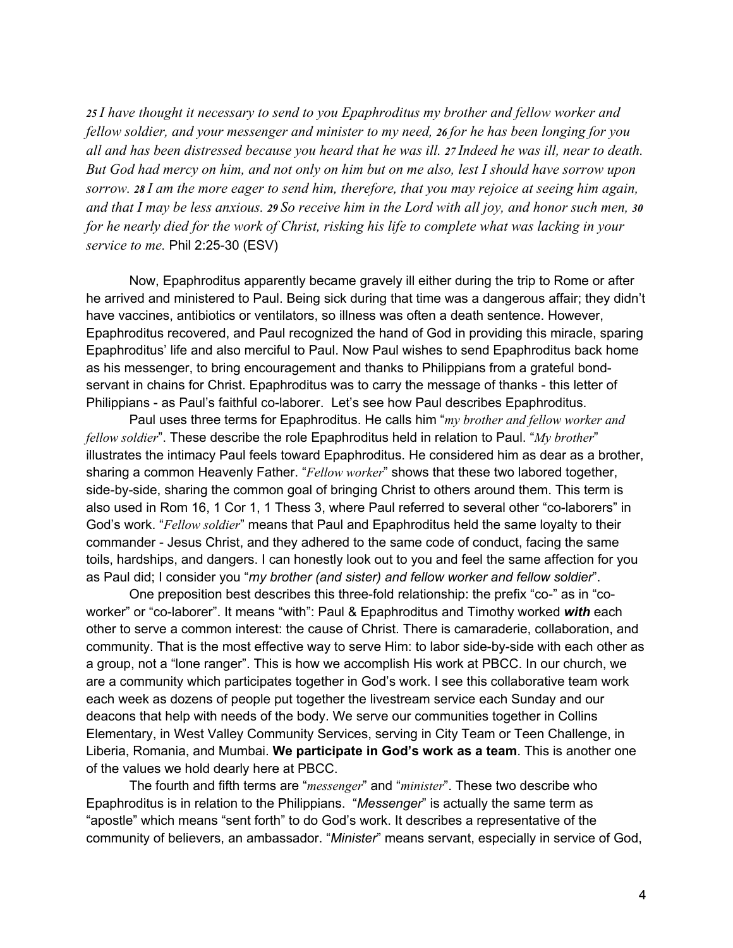*25 I have thought it necessary to send to you Epaphroditus my brother and fellow worker and fellow soldier, and your messenger and minister to my need, 26 for he has been longing for you all and has been distressed because you heard that he was ill. 27 Indeed he was ill, near to death. But God had mercy on him, and not only on him but on me also, lest I should have sorrow upon sorrow. 28 I am the more eager to send him, therefore, that you may rejoice at seeing him again, and that I may be less anxious. 29 So receive him in the Lord with all joy, and honor such men, 30 for he nearly died for the work of Christ, risking his life to complete what was lacking in your service to me.* Phil 2:25-30 (ESV)

Now, Epaphroditus apparently became gravely ill either during the trip to Rome or after he arrived and ministered to Paul. Being sick during that time was a dangerous affair; they didn't have vaccines, antibiotics or ventilators, so illness was often a death sentence. However, Epaphroditus recovered, and Paul recognized the hand of God in providing this miracle, sparing Epaphroditus' life and also merciful to Paul. Now Paul wishes to send Epaphroditus back home as his messenger, to bring encouragement and thanks to Philippians from a grateful bondservant in chains for Christ. Epaphroditus was to carry the message of thanks - this letter of Philippians - as Paul's faithful co-laborer. Let's see how Paul describes Epaphroditus.

Paul uses three terms for Epaphroditus. He calls him "*my brother and fellow worker and fellow soldier*". These describe the role Epaphroditus held in relation to Paul. "*My brother*" illustrates the intimacy Paul feels toward Epaphroditus. He considered him as dear as a brother, sharing a common Heavenly Father. "*Fellow worker*" shows that these two labored together, side-by-side, sharing the common goal of bringing Christ to others around them. This term is also used in Rom 16, 1 Cor 1, 1 Thess 3, where Paul referred to several other "co-laborers" in God's work. "*Fellow soldier*" means that Paul and Epaphroditus held the same loyalty to their commander - Jesus Christ, and they adhered to the same code of conduct, facing the same toils, hardships, and dangers. I can honestly look out to you and feel the same affection for you as Paul did; I consider you "*my brother (and sister) and fellow worker and fellow soldier*".

One preposition best describes this three-fold relationship: the prefix "co-" as in "coworker" or "co-laborer". It means "with": Paul & Epaphroditus and Timothy worked *with* each other to serve a common interest: the cause of Christ. There is camaraderie, collaboration, and community. That is the most effective way to serve Him: to labor side-by-side with each other as a group, not a "lone ranger". This is how we accomplish His work at PBCC. In our church, we are a community which participates together in God's work. I see this collaborative team work each week as dozens of people put together the livestream service each Sunday and our deacons that help with needs of the body. We serve our communities together in Collins Elementary, in West Valley Community Services, serving in City Team or Teen Challenge, in Liberia, Romania, and Mumbai. **We participate in God's work as a team**. This is another one of the values we hold dearly here at PBCC.

The fourth and fifth terms are "*messenger*" and "*minister*". These two describe who Epaphroditus is in relation to the Philippians. "*Messenger*" is actually the same term as "apostle" which means "sent forth" to do God's work. It describes a representative of the community of believers, an ambassador. "*Minister*" means servant, especially in service of God,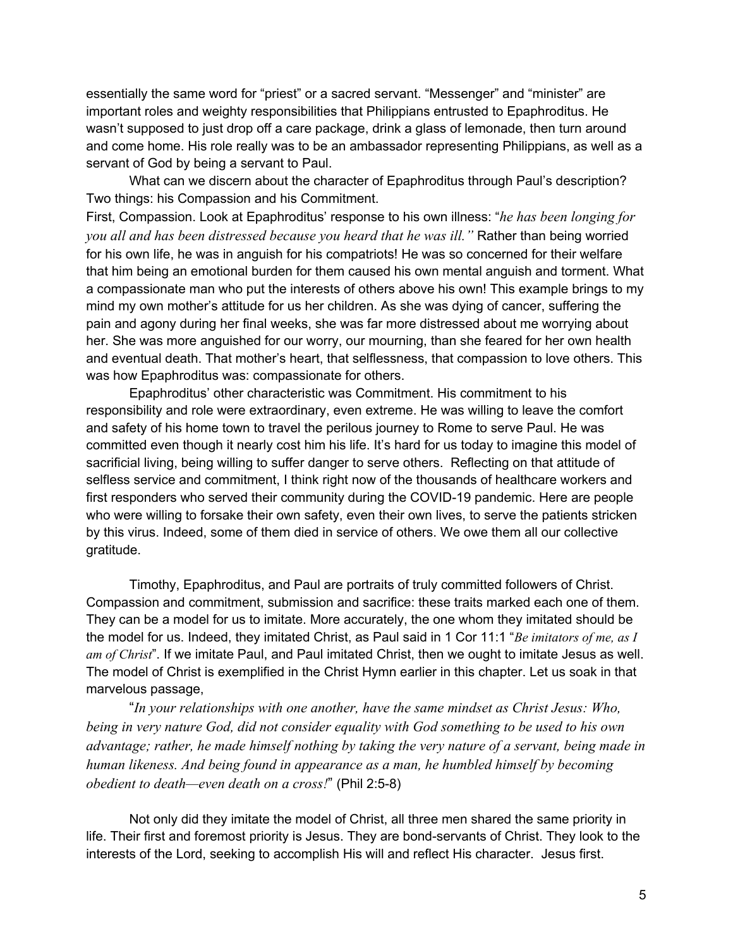essentially the same word for "priest" or a sacred servant. "Messenger" and "minister" are important roles and weighty responsibilities that Philippians entrusted to Epaphroditus. He wasn't supposed to just drop off a care package, drink a glass of lemonade, then turn around and come home. His role really was to be an ambassador representing Philippians, as well as a servant of God by being a servant to Paul.

What can we discern about the character of Epaphroditus through Paul's description? Two things: his Compassion and his Commitment.

First, Compassion. Look at Epaphroditus' response to his own illness: "*he has been longing for you all and has been distressed because you heard that he was ill."* Rather than being worried for his own life, he was in anguish for his compatriots! He was so concerned for their welfare that him being an emotional burden for them caused his own mental anguish and torment. What a compassionate man who put the interests of others above his own! This example brings to my mind my own mother's attitude for us her children. As she was dying of cancer, suffering the pain and agony during her final weeks, she was far more distressed about me worrying about her. She was more anguished for our worry, our mourning, than she feared for her own health and eventual death. That mother's heart, that selflessness, that compassion to love others. This was how Epaphroditus was: compassionate for others.

Epaphroditus' other characteristic was Commitment. His commitment to his responsibility and role were extraordinary, even extreme. He was willing to leave the comfort and safety of his home town to travel the perilous journey to Rome to serve Paul. He was committed even though it nearly cost him his life. It's hard for us today to imagine this model of sacrificial living, being willing to suffer danger to serve others. Reflecting on that attitude of selfless service and commitment, I think right now of the thousands of healthcare workers and first responders who served their community during the COVID-19 pandemic. Here are people who were willing to forsake their own safety, even their own lives, to serve the patients stricken by this virus. Indeed, some of them died in service of others. We owe them all our collective gratitude.

Timothy, Epaphroditus, and Paul are portraits of truly committed followers of Christ. Compassion and commitment, submission and sacrifice: these traits marked each one of them. They can be a model for us to imitate. More accurately, the one whom they imitated should be the model for us. Indeed, they imitated Christ, as Paul said in 1 Cor 11:1 "*Be imitators of me, as I am of Christ*". If we imitate Paul, and Paul imitated Christ, then we ought to imitate Jesus as well. The model of Christ is exemplified in the Christ Hymn earlier in this chapter. Let us soak in that marvelous passage,

"*In your relationships with one another, have the same mindset as Christ Jesus: Who, being in very nature God, did not consider equality with God something to be used to his own advantage; rather, he made himself nothing by taking the very nature of a servant, being made in human likeness. And being found in appearance as a man, he humbled himself by becoming obedient to death—even death on a cross!*" (Phil 2:5-8)

Not only did they imitate the model of Christ, all three men shared the same priority in life. Their first and foremost priority is Jesus. They are bond-servants of Christ. They look to the interests of the Lord, seeking to accomplish His will and reflect His character. Jesus first.